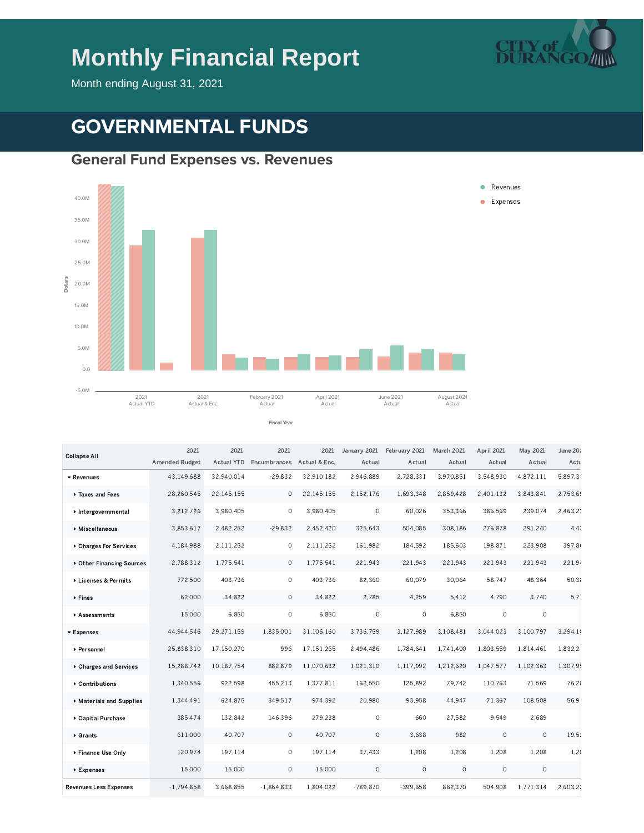# **Monthly Financial Report**



Month ending August 31, 2021

# **GOVERNMENTAL FUNDS**

#### **General Fund Expenses vs. Revenues**



| <b>Collapse All</b>           | 2021                  | 2021              | 2021         | 2021          | January 2021 | February 2021 | March 2021 | April 2021 | May 2021  | June 20: |
|-------------------------------|-----------------------|-------------------|--------------|---------------|--------------|---------------|------------|------------|-----------|----------|
|                               | <b>Amended Budget</b> | <b>Actual YTD</b> | Encumbrances | Actual & Enc. | Actual       | Actual        | Actual     | Actual     | Actual    | Actu     |
| ▼ Revenues                    | 43.149.688            | 32.940.014        | $-29.832$    | 32.910.182    | 2.946.889    | 2.728.331     | 3.970.851  | 3.548.930  | 4.872.111 | 5.897.3. |
| Taxes and Fees                | 28,260,545            | 22.145.155        | $\circ$      | 22.145.155    | 2,152,176    | 1.693.348     | 2.859.428  | 2,401,132  | 3,843,841 | 2,753,69 |
| Intergovernmental             | 3,212,726             | 3,980,405         | $\circ$      | 3,980,405     | $\circ$      | 60,026        | 353,366    | 386,569    | 239,074   | 2.463.2  |
| ▶ Miscellaneous               | 3.853.617             | 2.482.252         | $-29,832$    | 2.452.420     | 325.643      | 504.085       | 308.186    | 276.878    | 291.240   | 4.4      |
| ▶ Charges For Services        | 4,184,988             | 2.111.252         | $\circ$      | 2.111.252     | 161.982      | 184.592       | 185.603    | 198.871    | 223.908   | 397.8    |
| ▶ Other Financing Sources     | 2,788,312             | 1,775,541         | $\circ$      | 1,775,541     | 221,943      | 221,943       | 221,943    | 221,943    | 221,943   | 221,9    |
| Licenses & Permits            | 772,500               | 403,736           | $\circ$      | 403,736       | 82,360       | 60,079        | 30,064     | 58,747     | 48,364    | 50,3     |
| ▶ Fines                       | 62.000                | 34,822            | $\circ$      | 34.822        | 2.785        | 4,259         | 5.412      | 4.790      | 3.740     | 5.7      |
| Assessments                   | 15,000                | 6.850             | $\circ$      | 6.850         | $\circ$      | $\circ$       | 6,850      | $\circ$    | $\circ$   |          |
| ▼ Expenses                    | 44,944,546            | 29,271,159        | 1,835,001    | 31,106,160    | 3,736,759    | 3,127,989     | 3,108,481  | 3,044,023  | 3,100,797 | 3,294,10 |
| ▶ Personnel                   | 25,838,310            | 17,150,270        | 996          | 17,151,265    | 2,494,486    | 1.784.641     | 1.741.400  | 1.803.559  | 1.814.461 | 1.832.2  |
| ▶ Charges and Services        | 15,288,742            | 10.187.754        | 882,879      | 11.070.632    | 1.021.310    | 1.117.992     | 1.212.620  | 1.047.577  | 1.102.363 | 1.307.9  |
| ▶ Contributions               | 1,340,556             | 922,598           | 455,213      | 1,377,811     | 162,550      | 125,892       | 79,742     | 110,763    | 71,569    | 76.21    |
| Materials and Supplies        | 1,344,491             | 624.875           | 349,517      | 974,392       | 20,980       | 93.958        | 44.947     | 71,367     | 108,508   | 56.9     |
| ▶ Capital Purchase            | 385,474               | 132.842           | 146,396      | 279,238       | $\circ$      | 660           | 27.582     | 9.549      | 2.689     |          |
| $\triangleright$ Grants       | 611,000               | 40,707            | $\circ$      | 40,707        | $\circ$      | 3,638         | 982        | 0          | $\circ$   | 19.5.    |
| ▶ Finance Use Only            | 120,974               | 197,114           | $\circ$      | 197,114       | 37,433       | 1,208         | 1,208      | 1,208      | 1,208     | 1,2(     |
| ▶ Expenses                    | 15,000                | 15,000            | $\circ$      | 15,000        | $\circ$      | $\circ$       | $\circ$    | $\circ$    | $\circ$   |          |
| <b>Revenues Less Expenses</b> | $-1.794,858$          | 3,668,855         | $-1,864,833$ | 1,804,022     | $-789.870$   | $-399.658$    | 862,370    | 504,908    | 1.771.314 | 2,603.2  |
|                               |                       |                   |              |               |              |               |            |            |           |          |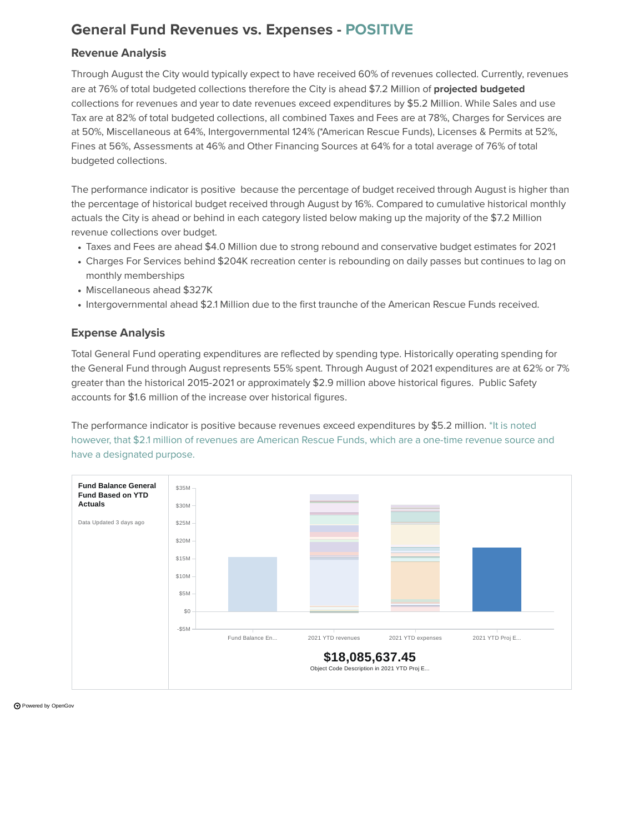## **General Fund Revenues vs. Expenses - POSITIVE**

#### **Revenue Analysis**

Through August the City would typically expect to have received 60% of revenues collected. Currently, revenues are at 76% of total budgeted collections therefore the City is ahead \$7.2 Million of **projected budgeted** collections for revenues and year to date revenues exceed expenditures by \$5.2 Million. While Sales and use Tax are at 82% of total budgeted collections, all combined Taxes and Fees are at 78%, Charges for Services are at 50%, Miscellaneous at 64%, Intergovernmental 124% (\*American Rescue Funds), Licenses & Permits at 52%, Fines at 56%, Assessments at 46% and Other Financing Sources at 64% for a total average of 76% of total budgeted collections.

The performance indicator is positive because the percentage of budget received through August is higher than the percentage of historical budget received through August by 16%. Compared to cumulative historical monthly actuals the City is ahead or behind in each category listed below making up the majority of the \$7.2 Million revenue collections over budget.

- Taxes and Fees are ahead \$4.0 Million due to strong rebound and conservative budget estimates for 2021
- Charges For Services behind \$204K recreation center is rebounding on daily passes but continues to lag on monthly memberships
- Miscellaneous ahead \$327K
- Intergovernmental ahead \$2.1 Million due to the first traunche of the American Rescue Funds received.

#### **Expense Analysis**

Total General Fund operating expenditures are reflected by spending type. Historically operating spending for the General Fund through August represents 55% spent. Through August of 2021 expenditures are at 62% or 7% greater than the historical 2015-2021 or approximately \$2.9 million above historical figures. Public Safety accounts for \$1.6 million of the increase over historical figures.

The performance indicator is positive because revenues exceed expenditures by \$5.2 million. \*It is noted however, that \$2.1 million of revenues are American Rescue Funds, which are a one-time revenue source and have a designated purpose.



Powered by [OpenGov](https://opengov.com/)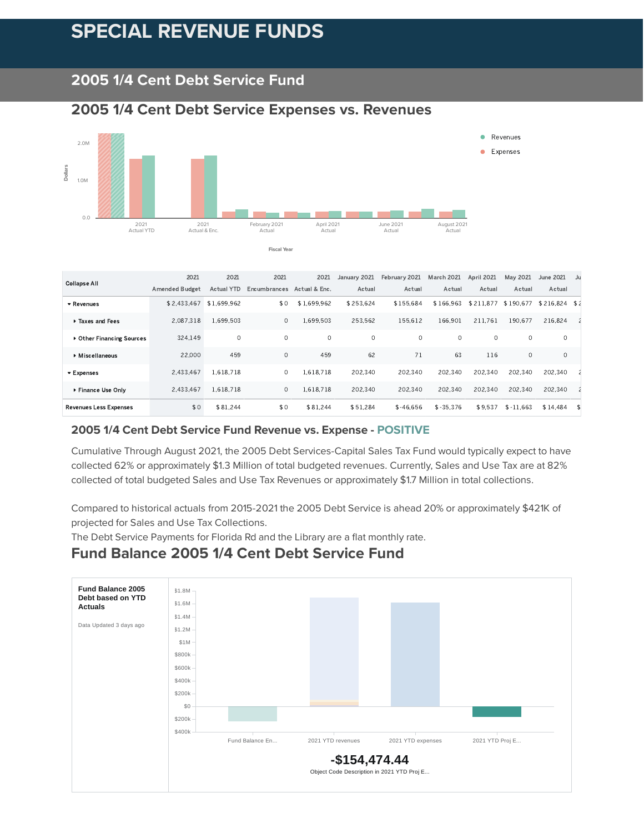# **SPECIAL REVENUE FUNDS**

### **2005 1/4 Cent Debt Service Fund**

#### **2005 1/4 Cent Debt Service Expenses vs. Revenues**



| <b>Collapse All</b>           | 2021                  | 2021        | 2021         | 2021          | January 2021 | February 2021 | March 2021  | April 2021 | May 2021    | June 2021     | Ju |
|-------------------------------|-----------------------|-------------|--------------|---------------|--------------|---------------|-------------|------------|-------------|---------------|----|
|                               | <b>Amended Budget</b> | Actual YTD  | Encumbrances | Actual & Enc. | Actual       | Actual        | Actual      | Actual     | Actual      | Actual        |    |
| ▼ Revenues                    | \$2.433.467           | \$1,699.962 | \$0          | \$1,699.962   | \$253.624    | \$155.684     | \$166.963   | \$211.877  | \$190.677   | \$216.824 \$2 |    |
| Taxes and Fees                | 2.087.318             | 1.699.503   | $\circ$      | .699.503      | 253.562      | 155.612       | 166.901     | 211.761    | 190.677     | 216.824       |    |
| ▶ Other Financing Sources     | 324.149               | $\circ$     | $\circ$      | $\circ$       | $\circ$      | $\circ$       | $\circ$     | $\circ$    | $\circ$     | $\circ$       |    |
| Miscellaneous                 | 22,000                | 459         | $\circ$      | 459           | 62           | 71            | 63          | 116        | $\circ$     | $\circ$       |    |
| ▼ Expenses                    | 2.433.467             | 1.618.718   | $\circ$      | 1.618.718     | 202.340      | 202.340       | 202.340     | 202.340    | 202.340     | 202.340       |    |
| ▶ Finance Use Only            | 2.433.467             | 1.618.718   | $\circ$      | .618.718      | 202,340      | 202.340       | 202.340     | 202.340    | 202.340     | 202.340       |    |
| <b>Revenues Less Expenses</b> | \$0                   | \$81.244    | \$0          | \$81.244      | \$51.284     | $$-46.656$    | $$ -35.376$ | \$9.537    | $$ -11.663$ | \$14.484      |    |

#### **2005 1/4 Cent Debt Service Fund Revenue vs. Expense - POSITIVE**

Cumulative Through August 2021, the 2005 Debt Services-Capital Sales Tax Fund would typically expect to have collected 62% or approximately \$1.3 Million of total budgeted revenues. Currently, Sales and Use Tax are at 82% collected of total budgeted Sales and Use Tax Revenues or approximately \$1.7 Million in total collections.

Compared to historical actuals from 2015-2021 the 2005 Debt Service is ahead 20% or approximately \$421K of projected for Sales and Use Tax Collections.

The Debt Service Payments for Florida Rd and the Library are a flat monthly rate.

#### **Fund Balance 2005 1/4 Cent Debt Service Fund**

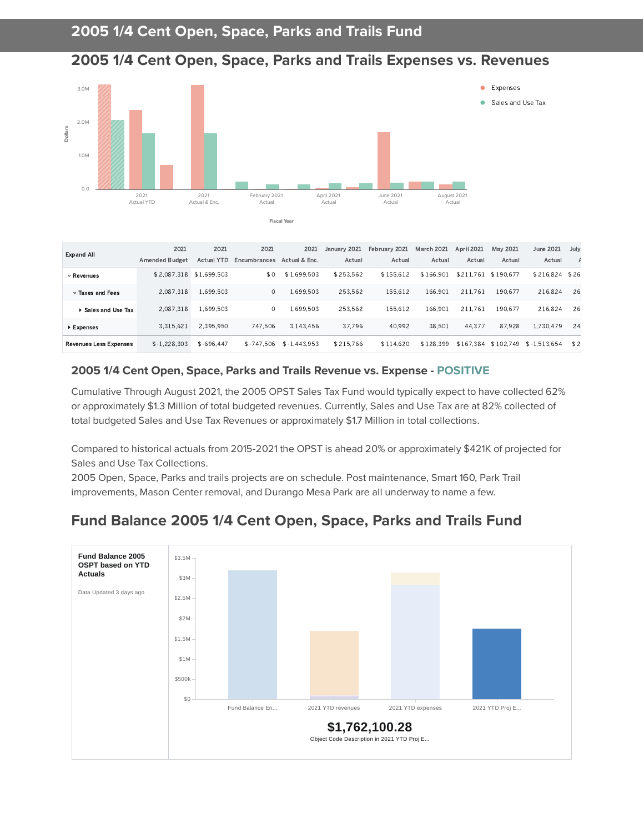



| <b>Expand All</b>              | 2021<br><b>Amended Budget</b> | 2021<br><b>Actual YTD</b> | 2021<br>Encumbrances | 2021<br>Actual & Enc. | January 2021<br>Actual | February 2021<br>Actual | <b>March 2021</b><br>Actual | <b>April 2021</b><br>Actual | May 2021<br>Actual | June 2021<br>Actual | July |
|--------------------------------|-------------------------------|---------------------------|----------------------|-----------------------|------------------------|-------------------------|-----------------------------|-----------------------------|--------------------|---------------------|------|
|                                |                               |                           |                      |                       |                        |                         |                             |                             |                    |                     |      |
| $\triangledown$ Revenues       | \$2.087.318 \$1.699.503       |                           | \$0                  | \$1.699.503           | \$253.562              | \$155.612               | \$166.901                   | \$211.761                   | \$190.677          | \$216.824 \$26      |      |
| $\triangledown$ Taxes and Fees | 2.087.318                     | 1.699.503                 | $\circ$              | 1.699.503             | 253.562                | 155.612                 | 166.901                     | 211.761                     | 190.677            | 216.824             | -26  |
| ▶ Sales and Use Tax            | 2.087.318                     | 1.699.503                 | 0                    | 1.699.503             | 253.562                | 155.612                 | 166.901                     | 211.761                     | 190.677            | 216.824             | 26   |
| ▶ Expenses                     | 3.315.621                     | 2.395.950                 | 747.506              | 3.143.456             | 37.796                 | 40.992                  | 38.501                      | 44.377                      | 87.928             | 1.730.479           | 24   |
| <b>Revenues Less Expenses</b>  | $$ -1.228.303$                | $$ -696.447$              | $$ -747.506$         | $$-1.443.953$         | \$215.766              | \$114,620               | \$128,399                   | \$167.384                   | \$102.749          | \$-1.513.654        | \$2  |

#### **2005 1/4 Cent Open, Space, Parks and Trails Revenue vs. Expense - POSITIVE**

Cumulative Through August 2021, the 2005 OPST Sales Tax Fund would typically expect to have collected 62% or approximately \$1.3 Million of total budgeted revenues. Currently, Sales and Use Tax are at 82% collected of total budgeted Sales and Use Tax Revenues or approximately \$1.7 Million in total collections.

Compared to historical actuals from 2015-2021 the OPST is ahead 20% or approximately \$421K of projected for Sales and Use Tax Collections.

2005 Open, Space, Parks and trails projects are on schedule. Post maintenance, Smart 160, Park Trail improvements, Mason Center removal, and Durango Mesa Park are all underway to name a few.

## **Fund Balance 2005 1/4 Cent Open, Space, Parks and Trails Fund**

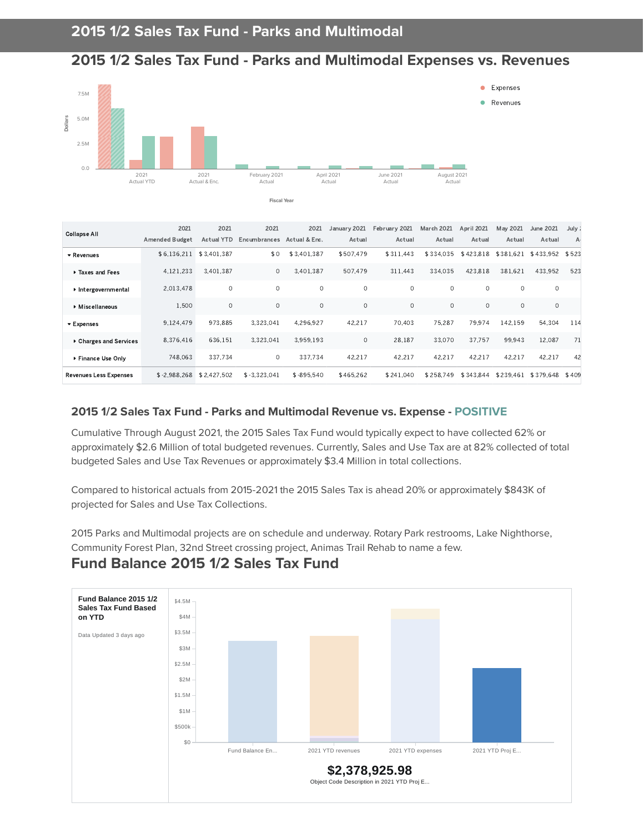#### **2015 1/2 Sales Tax Fund - Parks and Multimodal Expenses vs. Revenues**



**Fiscal Year**

| <b>Collapse All</b>            | 2021                  | 2021              | 2021           | 2021          | January 2021 | February 2021 | <b>March 2021</b> | April 2021 | May 2021      | June 2021       | July :         |
|--------------------------------|-----------------------|-------------------|----------------|---------------|--------------|---------------|-------------------|------------|---------------|-----------------|----------------|
|                                | <b>Amended Budget</b> | <b>Actual YTD</b> | Encumbrances   | Actual & Enc. | Actual       | Actual        | Actual            | Actual     | Actual        | Actual          | A <sub>1</sub> |
| ▼ Revenues                     | \$6,136,211           | \$3,401,387       | \$0            | \$3,401,387   | \$507.479    | \$311.443     | \$334.035         | \$423.818  | \$381<br>.621 | \$433,952 \$523 |                |
| Taxes and Fees                 | 4.121.233             | 3.401.387         | $\circ$        | 3.401.387     | 507.479      | 311.443       | 334.035           | 423.818    | 381.621       | 433.952         | 523            |
| Intergovernmental              | 2.013.478             | $\circ$           | $\circ$        | $\circ$       | $\circ$      | $\Omega$      | $\circ$           | $\circ$    | $\circ$       | $\circ$         |                |
| ▶ Miscellaneous                | 1.500                 | $\circ$           | $\mathbf{0}$   | $\circ$       | $\circ$      | $\circ$       | $\circ$           | $\circ$    | $\circ$       | $\circ$         |                |
| $\blacktriangleright$ Expenses | 9.124.479             | 973.885           | 3.323.041      | 4.296.927     | 42.217       | 70.403        | 75.287            | 79.974     | 142.159       | 54,304          | 114            |
| ▶ Charges and Services         | 8.376.416             | 636.151           | 3.323.041      | 3.959.193     | $\circ$      | 28.187        | 33.070            | 37.757     | 99.943        | 12.087          | 71             |
| Finance Use Only               | 748,063               | 337.734           | $\circ$        | 337.734       | 42.217       | 42.217        | 42.217            | 42,217     | 42.217        | 42,217          | 42             |
| <b>Revenues Less Expenses</b>  | $$ -2.988.268$        | \$2,427.502       | $$ -3,323,041$ | $$ -895.540$  | \$465,262    | \$241.040     | \$258.749         | \$343.844  | \$239.461     | \$379,648 \$409 |                |

#### **2015 1/2 Sales Tax Fund - Parks and Multimodal Revenue vs. Expense - POSITIVE**

Cumulative Through August 2021, the 2015 Sales Tax Fund would typically expect to have collected 62% or approximately \$2.6 Million of total budgeted revenues. Currently, Sales and Use Tax are at 82% collected of total budgeted Sales and Use Tax Revenues or approximately \$3.4 Million in total collections.

Compared to historical actuals from 2015-2021 the 2015 Sales Tax is ahead 20% or approximately \$843K of projected for Sales and Use Tax Collections.

2015 Parks and Multimodal projects are on schedule and underway. Rotary Park restrooms, Lake Nighthorse, Community Forest Plan, 32nd Street crossing project, Animas Trail Rehab to name a few.

#### **\$2,378,925.98** Object Code Description in 2021 YTD Proj E... \$0 \$500k \$1M \$1.5M \$2M \$2.5M \$3M \$3.5M \$4M \$4.5M Fund Balance En... 2021 YTD revenues 2021 YTD expenses 2021 YTD Proj E... **Fund Balance 2015 1/2 Sales Tax Fund Based on YTD** Data Updated 3 days ago

#### **Fund Balance 2015 1/2 Sales Tax Fund**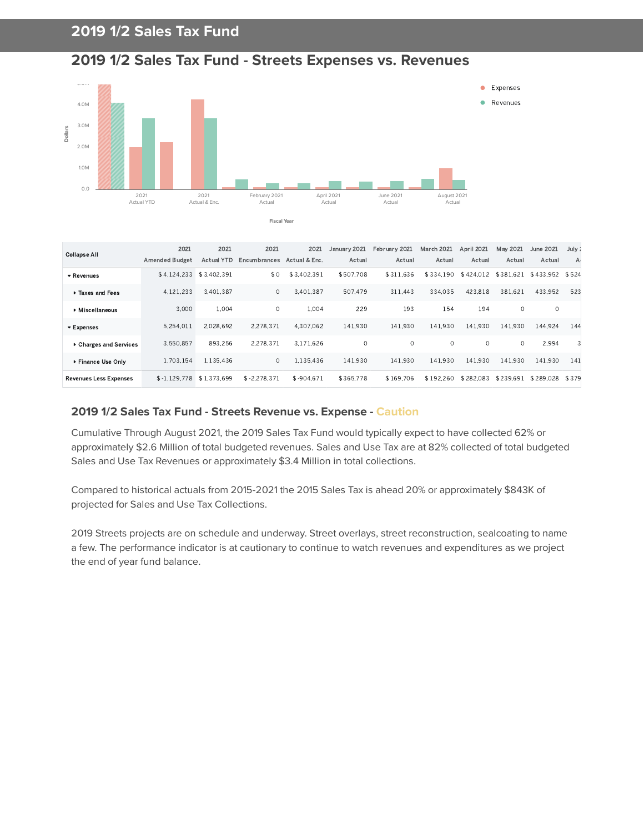## **2019 1/2 Sales Tax Fund**





| <b>Collapse All</b>           | 2021                  | 2021              | 2021           | 2021          | January 2021 | February 2021 | <b>March 2021</b> | April 2021 | May 2021  | <b>June 2021</b> | July ;         |
|-------------------------------|-----------------------|-------------------|----------------|---------------|--------------|---------------|-------------------|------------|-----------|------------------|----------------|
|                               | <b>Amended Budget</b> | <b>Actual YTD</b> | Encumbrances   | Actual & Enc. | Actual       | Actual        | Actual            | Actual     | Actual    | Actual           | A <sub>1</sub> |
| ▼ Revenues                    | \$4.124.233           | \$3.402.391       | \$0            | \$3.402.391   | \$507.708    | \$311.636     | \$334.190         | \$424.012  | \$381.621 | \$433.952 \$524  |                |
| Taxes and Fees                | 4.121.233             | 3.401.387         | 0              | 3.401.387     | 507.479      | 311.443       | 334.035           | 423.818    | 381.621   | 433.952          | 523            |
| Miscellaneous                 | 3.000                 | 1.004             | $\circ$        | 1.004         | 229          | 193           | 154               | 194        | $\circ$   | 0                |                |
| ▼ Expenses                    | 5.254.011             | 2.028.692         | 2.278.371      | 4.307.062     | 141,930      | 141.930       | 141,930           | 141.930    | 141.930   | 144.924          | 144            |
| ▶ Charges and Services        | 3.550.857             | 893.256           | 2.278.371      | 3.171.626     | 0            | $\Omega$      | $\Omega$          | $\circ$    | 0         | 2.994            |                |
| ▶ Finance Use Only            | 1.703.154             | 1.135.436         | $\circ$        | 1.135.436     | 141.930      | 141.930       | 141.930           | 141.930    | 141.930   | 141.930          | 141            |
| <b>Revenues Less Expenses</b> | $$-1.129.778$         | \$1.373.699       | $$ -2.278.371$ | $$ -904.671$  | \$365.778    | \$169.706     | \$192.260         | \$282.083  | \$239.691 | \$289.028        | \$379          |

#### **2019 1/2 Sales Tax Fund - Streets Revenue vs. Expense - Caution**

Cumulative Through August 2021, the 2019 Sales Tax Fund would typically expect to have collected 62% or approximately \$2.6 Million of total budgeted revenues. Sales and Use Tax are at 82% collected of total budgeted Sales and Use Tax Revenues or approximately \$3.4 Million in total collections.

Compared to historical actuals from 2015-2021 the 2015 Sales Tax is ahead 20% or approximately \$843K of projected for Sales and Use Tax Collections.

2019 Streets projects are on schedule and underway. Street overlays, street reconstruction, sealcoating to name a few. The performance indicator is at cautionary to continue to watch revenues and expenditures as we project the end of year fund balance.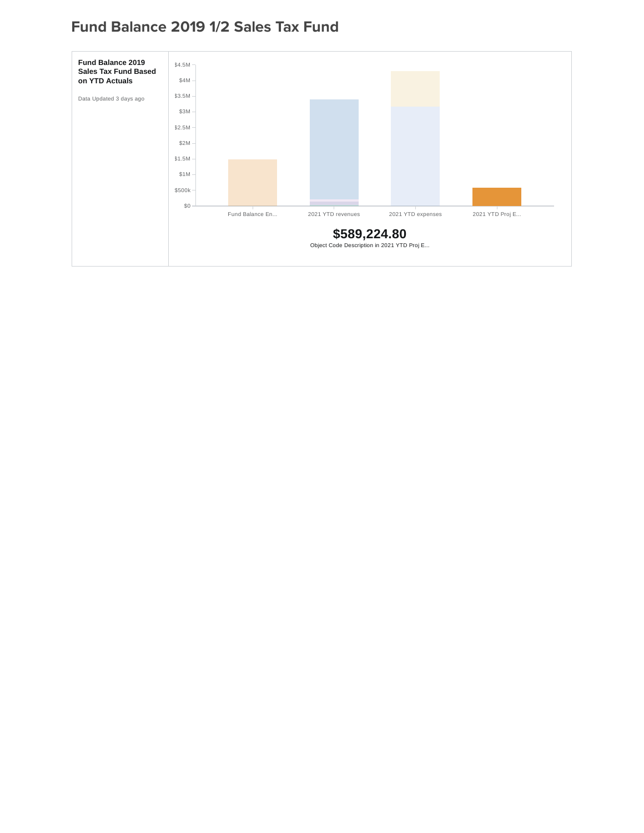## **Fund Balance 2019 1/2 Sales Tax Fund**

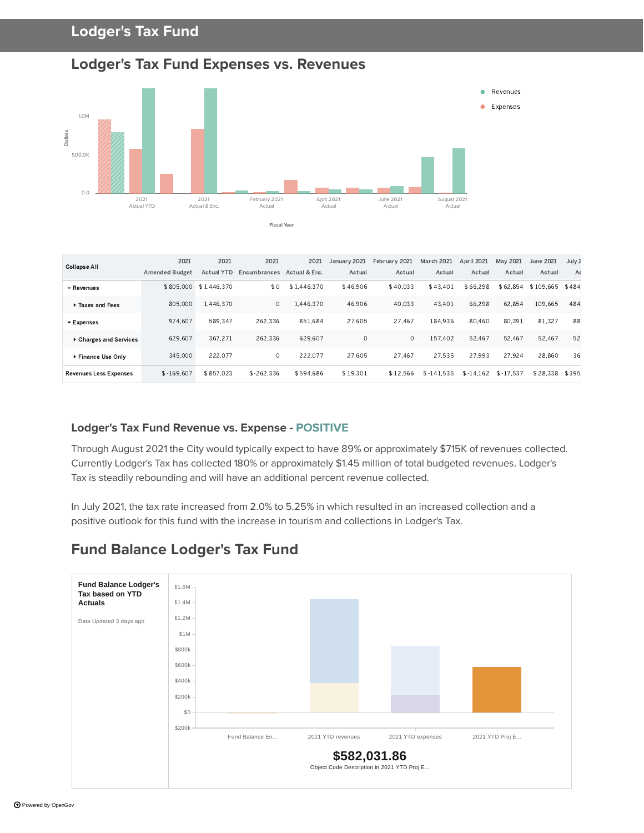#### **Lodger's Tax Fund**

#### **Lodger's Tax Fund Expenses vs. Revenues**



| <b>Collapse All</b>            | 2021                  | 2021              | 2021         | 2021          | January 2021 | February 2021 | March 2021  | April 2021  | May 2021    | June 2021       | July 2         |
|--------------------------------|-----------------------|-------------------|--------------|---------------|--------------|---------------|-------------|-------------|-------------|-----------------|----------------|
|                                | <b>Amended Budget</b> | <b>Actual YTD</b> | Encumbrances | Actual & Enc. | Actual       | Actual        | Actual      | Actual      | Actual      | Actual          | A <sub>0</sub> |
| $\triangledown$ Revenues       | \$805,000             | \$1.446.370       | \$0          | \$1.446.370   | \$46,906     | \$40.033      | \$43.401    | \$66.298    | \$62.854    | \$109.665 \$484 |                |
| Taxes and Fees                 | 805,000               | 1.446.370         | $\circ$      | 1.446.370     | 46.906       | 40.033        | 43.401      | 66.298      | 62.854      | 109.665         | 484            |
| $\blacktriangleright$ Expenses | 974.607               | 589.347           | 262.336      | 851.684       | 27.605       | 27.467        | 184.936     | 80,460      | 80.391      | 81.327          | 88             |
| Charges and Services           | 629.607               | 367.271           | 262.336      | 629.607       | $\circ$      | 0             | 157.402     | 52.467      | 52.467      | 52.467          | 52             |
| Finance Use Only               | 345,000               | 222.077           | $\circ$      | 222.077       | 27.605       | 27.467        | 27.535      | 27.993      | 27.924      | 28.860          | 36             |
| <b>Revenues Less Expenses</b>  | $$ -169.607$          | \$857.023         | $$ -262.336$ | \$594.686     | \$19.301     | \$12.566      | $$-141.535$ | $$ -14.162$ | $$ -17.537$ | \$28.338        | \$395          |

#### **Lodger's Tax Fund Revenue vs. Expense - POSITIVE**

Through August 2021 the City would typically expect to have 89% or approximately \$715K of revenues collected. Currently Lodger's Tax has collected 180% or approximately \$1.45 million of total budgeted revenues. Lodger's Tax is steadily rebounding and will have an additional percent revenue collected.

In July 2021, the tax rate increased from 2.0% to 5.25% in which resulted in an increased collection and a positive outlook for this fund with the increase in tourism and collections in Lodger's Tax.

#### **\$582,031.86** Object Code Description in 2021 YTD Proj E... \$200k \$0 \$200k \$400k \$600k \$800k \$1M \$1.2M \$1.4M \$1.6M Fund Balance En... 2021 YTD revenues 2021 YTD expenses 2021 YTD Proj E... **Fund Balance Lodger's Tax based on YTD Actuals** Data Updated 3 days ago

#### **Fund Balance Lodger's Tax Fund**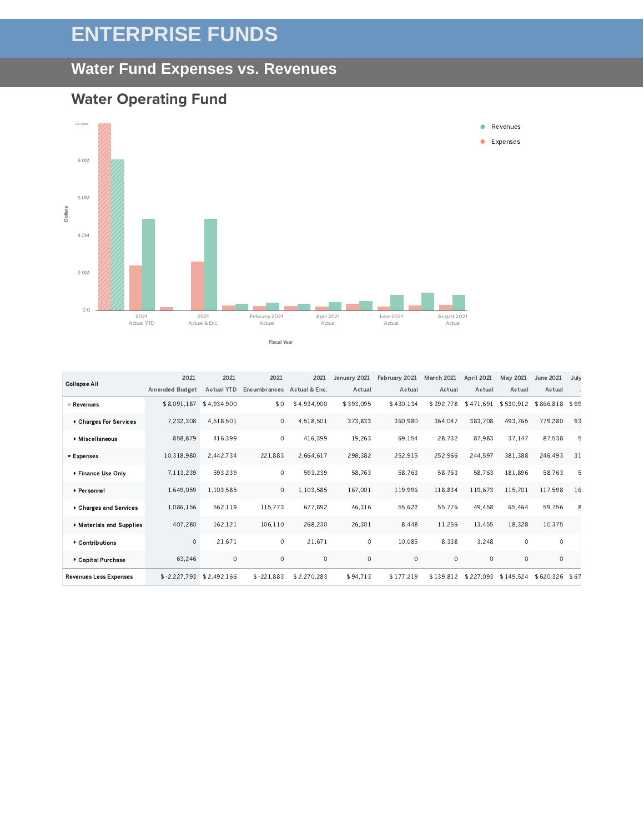# **ENTERPRISE FUNDS**

#### **Water Fund Expenses vs. Revenues**

#### **Water Operating Fund**



\$8.091.187 \$4.934.900 \$0 \$4.934.900 \$393.095 \$430.134 \$392.778 \$471.691 \$530.912 \$866.818 \$99 ,, ,, ,, , , , , , , 858.879 416.399 0 416.399 19.263 69.154 28.732 87.983 37.147 87.538 5 10.318.980 2.442.734 221.883 2.664.617 298.382 252.915 252.966 244.597 381.388 246.493 31 7.113.239 593.239 0 593.239 58.763 58.763 58.763 58.763 181.896 58.763 5 1.649.059 1.103.585 0 1.103.585 167.001 119.996 118.834 119.673 115.701 117.598 16 1.086.156 562.119 115.773 677.892 46.316 55.622 55.776 49.458 65.464 59.756 8 407.280 162.121 106.110 268.230 26.301 8.448 11.256 13.455 18.328 10.375  $0$   $21.671$   $0$   $21.671$   $0$   $10.085$   $8.338$   $3.248$   $0$   $0$ ,  $$-2.227,793$   $$2.492,166$   $$-221,883$   $$2.270,283$   $$94,713$   $$177,219$   $$139,812$   $$227,093$   $$149,524$   $$620,326$   $$67$ Revenues Charges For Services Miscellaneous **Expenses** ▶ Finance Use Only Personnel Charges and Services Materials and Supplies Contributions Capital Purchase Revenues Less Expenses 2021 Amended Budget 2021 Actual YTD Encumbrances Actual & Enc. 2021 2021 January 2021 February 2021 March 2021 April 2021 Actual Actual Actual Actual May 2021 June 2021 Actual Actual July A Collapse All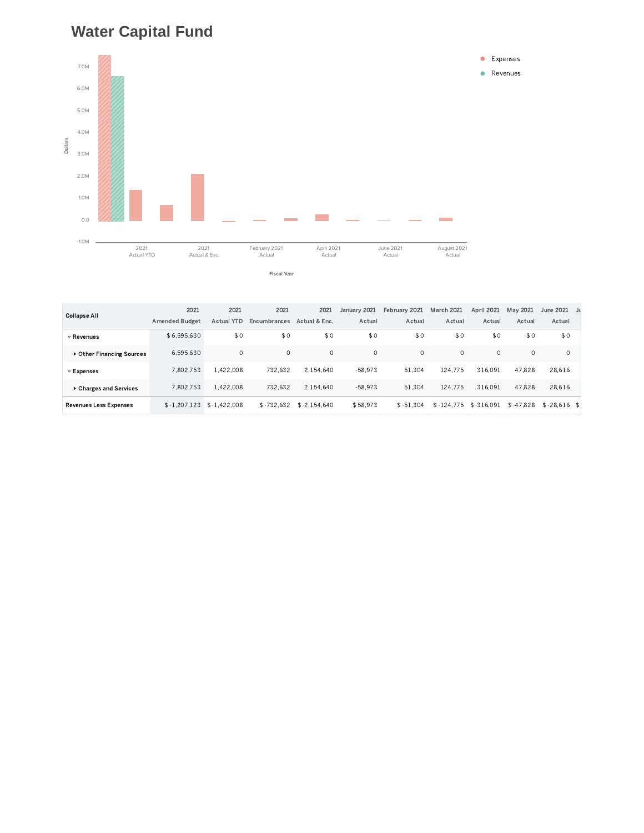## **Water Capital Fund**





|                               | 2021                  | 2021              | 2021         | 2021           | January 2021 | February 2021 | <b>March 2021</b> | <b>April 2021</b> | May 2021    | June 2021     |  |
|-------------------------------|-----------------------|-------------------|--------------|----------------|--------------|---------------|-------------------|-------------------|-------------|---------------|--|
| <b>Collapse All</b>           | <b>Amended Budget</b> | <b>Actual YTD</b> | Encumbrances | Actual & Enc.  | Actual       | Actual        | Actual            | Actual            | Actual      | Actual        |  |
| $\triangledown$ Revenues      | \$6.595.630           | \$0               | \$0          | \$0            | \$0          | \$0           | \$0               | \$0               | \$0         | \$0           |  |
| Other Financing Sources       | 6.595.630             | $\circ$           | $\circ$      | $\circ$        | $\circ$      | $\circ$       | $\circ$           | $\circ$           | $\Omega$    | $\circ$       |  |
| $\triangledown$ Expenses      | 7.802.753             | 1.422.008         | 732.632      | 2.154.640      | $-58.973$    | 51.304        | 124.775           | 316.091           | 47.828      | 28.616        |  |
| Charges and Services          | 7.802.753             | 1.422.008         | 732.632      | 2.154.640      | $-58.973$    | 51.304        | 124.775           | 316.091           | 47.828      | 28,616        |  |
| <b>Revenues Less Expenses</b> | $$ -1.207.123$        | $$ -1.422.008$    | $$-732.632$  | $$ -2.154.640$ | \$58.973     | $$ -51.304$   | $$-124.775$       | \$-316.091        | $$ -47.828$ | $$-28.616$ \$ |  |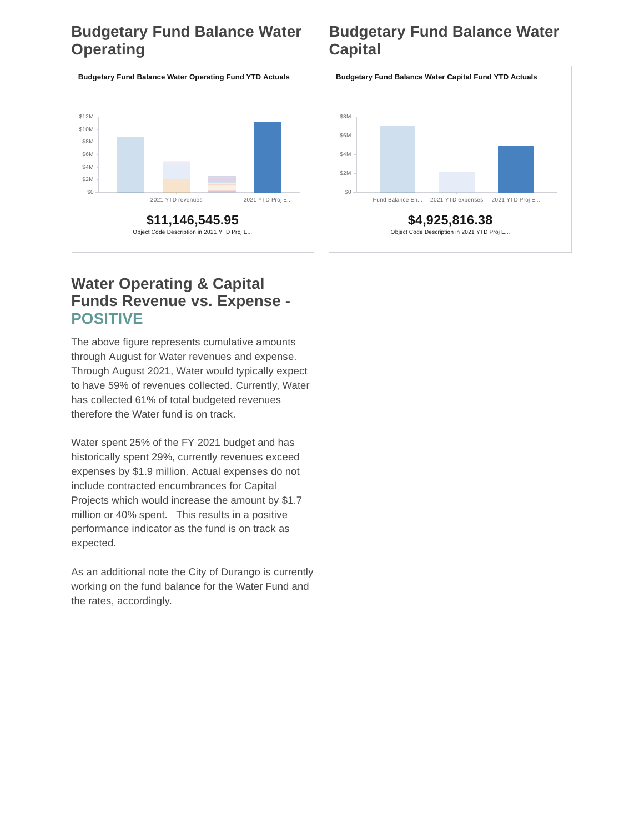## **Budgetary Fund Balance Water Operating**



## **Budgetary Fund Balance Water Capital**



## **Water Operating & Capital Funds Revenue vs. Expense - POSITIVE**

The above figure represents cumulative amounts through August for Water revenues and expense. Through August 2021, Water would typically expect to have 59% of revenues collected. Currently, Water has collected 61% of total budgeted revenues therefore the Water fund is on track.

Water spent 25% of the FY 2021 budget and has historically spent 29%, currently revenues exceed expenses by \$1.9 million. Actual expenses do not include contracted encumbrances for Capital Projects which would increase the amount by \$1.7 million or 40% spent. This results in a positive performance indicator as the fund is on track as expected.

As an additional note the City of Durango is currently working on the fund balance for the Water Fund and the rates, accordingly.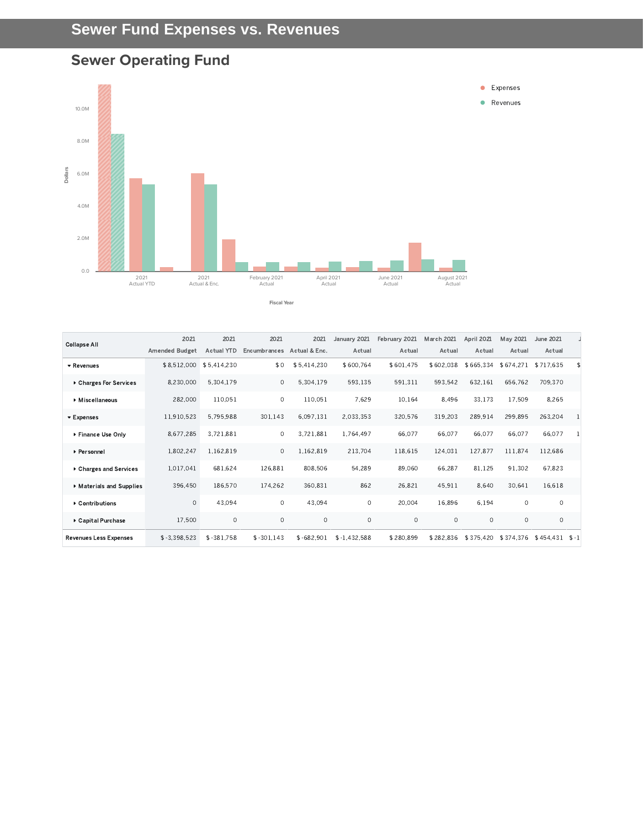# **Sewer Fund Expenses vs. Revenues**

# **Sewer Operating Fund**



| <b>Collapse All</b>           | 2021                    | 2021              | 2021         | 2021          | January 2021   | February 2021 | <b>March 2021</b> | April 2021 | May 2021  | June 2021 |         |
|-------------------------------|-------------------------|-------------------|--------------|---------------|----------------|---------------|-------------------|------------|-----------|-----------|---------|
|                               | <b>Amended Budget</b>   | <b>Actual YTD</b> | Encumbrances | Actual & Enc. | Actual         | Actual        | Actual            | Actual     | Actual    | Actual    |         |
| ▼ Revenues                    | \$8,512,000 \$5,414,230 |                   | \$0          | \$5,414,230   | \$600,764      | \$601,475     | \$602.038         | \$665,334  | \$674,271 | \$717.635 | \$      |
| ▶ Charges For Services        | 8.230.000               | 5.304.179         | $\circ$      | 5,304,179     | 593,135        | 591,311       | 593.542           | 632.161    | 656.762   | 709.370   |         |
| Miscellaneous                 | 282.000                 | 110.051           | $\circ$      | 110.051       | 7.629          | 10.164        | 8.496             | 33.173     | 17,509    | 8.265     |         |
| ▼ Expenses                    | 11,910,523              | 5.795.988         | 301.143      | 6,097,131     | 2.033.353      | 320,576       | 319,203           | 289.914    | 299,895   | 263,204   |         |
| Finance Use Only              | 8,677,285               | 3,721,881         | $\circ$      | 3,721,881     | 1,764,497      | 66,077        | 66,077            | 66.077     | 66,077    | 66,077    | -1      |
| ▶ Personnel                   | 1.802.247               | 1.162.819         | $\circ$      | 1.162.819     | 213.704        | 118.615       | 124.031           | 127.877    | 111.874   | 112.686   |         |
| ▶ Charges and Services        | 1,017,041               | 681,624           | 126,881      | 808,506       | 54,289         | 89,060        | 66,287            | 81,125     | 91,302    | 67,823    |         |
| Materials and Supplies        | 396,450                 | 186,570           | 174,262      | 360,831       | 862            | 26,821        | 45,911            | 8,640      | 30,641    | 16.618    |         |
| ▶ Contributions               | $\circ$                 | 43.094            | $\circ$      | 43.094        | $\mathbf{0}$   | 20.004        | 16.896            | 6.194      | $\circ$   | $\circ$   |         |
| ▶ Capital Purchase            | 17.500                  | $\circ$           | $\circ$      | $\circ$       | $\circ$        | 0             | $\circ$           | $\circ$    | $\circ$   | $\circ$   |         |
| <b>Revenues Less Expenses</b> | $$ -3.398.523$          | $$ -381.758$      | $$ -301.143$ | $$-682.901$   | $$ -1.432.588$ | \$280,899     | \$282,836         | \$375.420  | \$374.376 | \$454.431 | $S - 1$ |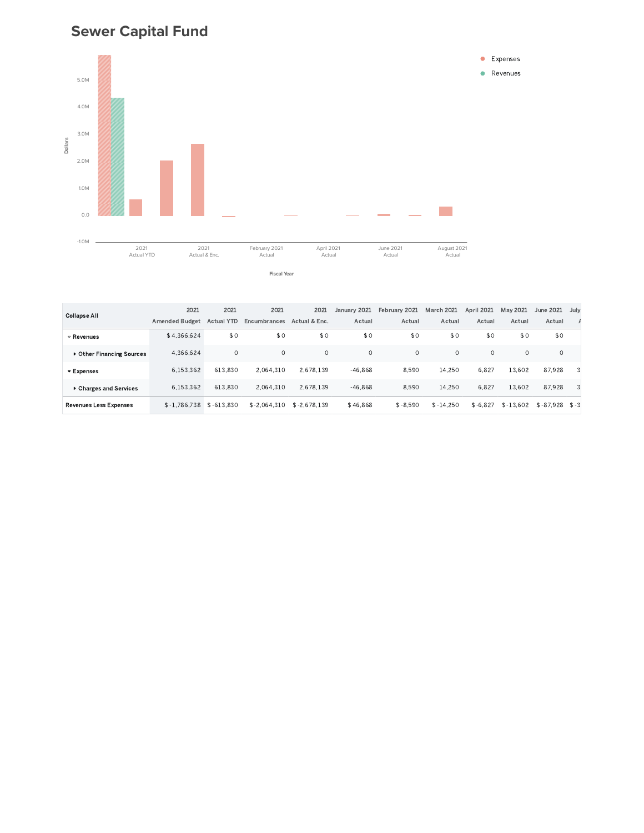## **Sewer Capital Fund**





|                               | 2021                  | 2021              | 2021           | 2021           | January 2021 | February 2021 | <b>March 2021</b> | April 2021 | May 2021    | June 2021        | July |
|-------------------------------|-----------------------|-------------------|----------------|----------------|--------------|---------------|-------------------|------------|-------------|------------------|------|
| <b>Collapse All</b>           | <b>Amended Budget</b> | <b>Actual YTD</b> | Encumbrances   | Actual & Enc.  | Actual       | Actual        | Actual            | Actual     | Actual      | Actual           |      |
| $\triangledown$ Revenues      | \$4.366.624           | \$0               | \$0            | \$0            | \$0          | \$0           | \$0               | \$0        | \$0         | \$0              |      |
| ▶ Other Financing Sources     | 4.366.624             | $\circ$           | $\Omega$       | $\Omega$       | $\Omega$     | $\circ$       | $\Omega$          | $\Omega$   | $\Omega$    |                  |      |
| ▼ Expenses                    | 6.153.362             | 613.830           | 2.064.310      | 2.678.139      | $-46.868$    | 8.590         | 14.250            | 6.827      | 13.602      | 87.928           |      |
| ▶ Charges and Services        | 6.153.362             | 613.830           | 2.064.310      | 2.678.139      | $-46.868$    | 8.590         | 14.250            | 6.827      | 13.602      | 87.928           |      |
| <b>Revenues Less Expenses</b> | $$ -1.786.738$        | $$-613.830$       | $$ -2.064.310$ | $$ -2.678.139$ | \$46,868     | $$ -8.590$    | $$ -14.250$       | $$ -6.827$ | $$ -13.602$ | $$-87.928$ \$ -3 |      |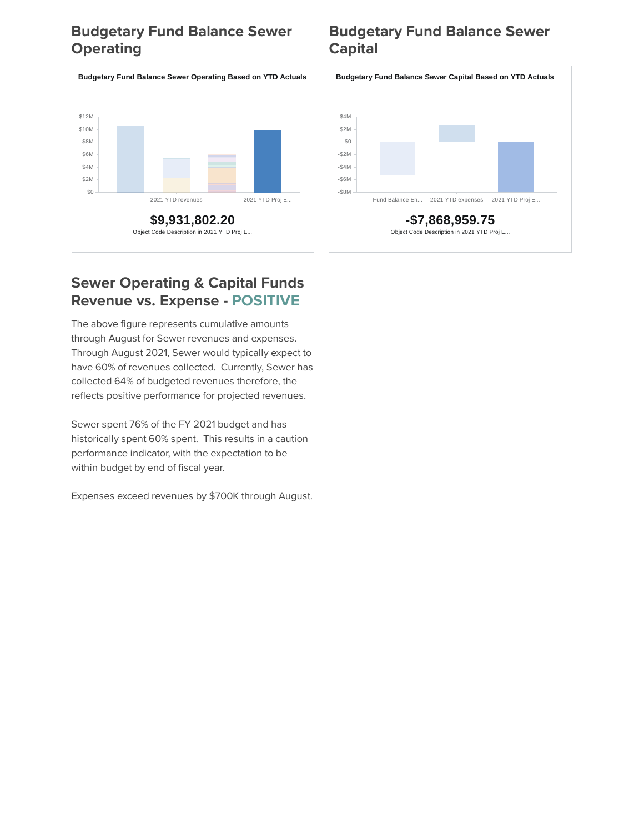## **Budgetary Fund Balance Sewer Operating**



### **Sewer Operating & Capital Funds Revenue vs. Expense - POSITIVE**

The above figure represents cumulative amounts through August for Sewer revenues and expenses. Through August 2021, Sewer would typically expect to have 60% of revenues collected. Currently, Sewer has collected 64% of budgeted revenues therefore, the reflects positive performance for projected revenues.

Sewer spent 76% of the FY 2021 budget and has historically spent 60% spent. This results in a caution performance indicator, with the expectation to be within budget by end of fiscal year.

Expenses exceed revenues by \$700K through August.

## **Budgetary Fund Balance Sewer Capital**

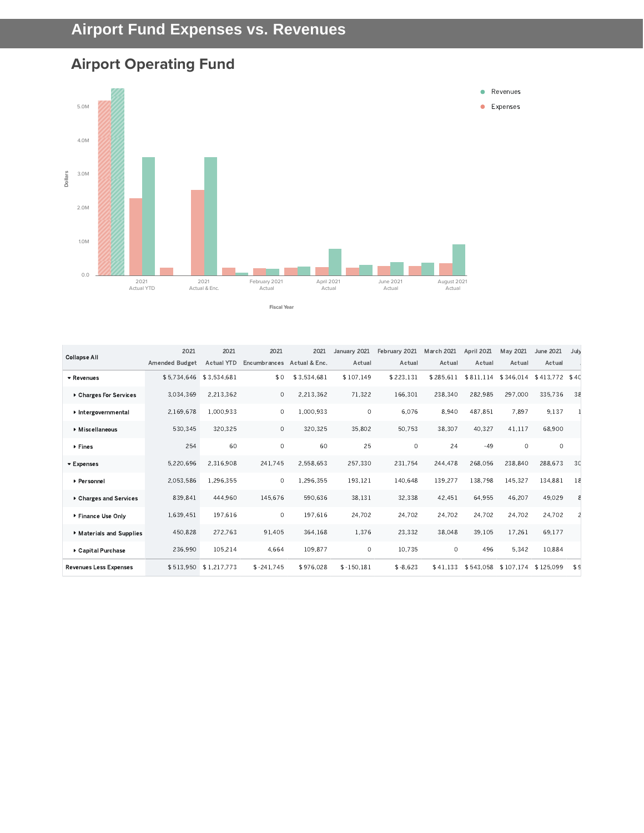# **Airport Operating Fund**



| <b>Collapse All</b>           | 2021                    | 2021                  | 2021         | 2021          | January 2021 | February 2021 | <b>March 2021</b> | April 2021 | May 2021  | <b>June 2021</b> | Jul <sub>1</sub> |
|-------------------------------|-------------------------|-----------------------|--------------|---------------|--------------|---------------|-------------------|------------|-----------|------------------|------------------|
|                               | <b>Amended Budget</b>   | <b>Actual YTD</b>     | Encumbrances | Actual & Enc. | Actual       | Actual        | Actual            | Actual     | Actual    | Actual           |                  |
| ▼ Revenues                    | \$5,734,646 \$3,534,681 |                       | \$0          | \$3,534,681   | \$107.149    | \$223,131     | \$285.611         | \$811.114  | \$346,014 | \$413,772 \$40   |                  |
| ▶ Charges For Services        | 3.034.369               | 2.213.362             | $\circ$      | 2.213.362     | 71.322       | 166.301       | 238.340           | 282.985    | 297.000   | 335.736          | -38              |
| Intergovernmental             | 2.169.678               | 1.000.933             | $\circ$      | 1,000,933     | $\circ$      | 6,076         | 8,940             | 487.851    | 7.897     | 9,137            |                  |
| ▶ Miscellaneous               | 530.345                 | 320.325               | $\circ$      | 320.325       | 35,802       | 50,753        | 38,307            | 40.327     | 41.117    | 68.900           |                  |
| ▶ Fines                       | 254                     | 60                    | $\circ$      | 60            | 25           | $\circ$       | 24                | $-49$      | $\circ$   | $\circ$          |                  |
| <b>v</b> Expenses             | 5.220.696               | 2.316.908             | 241.745      | 2.558.653     | 257.330      | 231.754       | 244,478           | 268.056    | 238,840   | 288.673          | 3 <sup>c</sup>   |
| ▶ Personnel                   | 2,053,586               | 1,296,355             | $\circ$      | 1,296,355     | 193,121      | 140,648       | 139,277           | 138.798    | 145,327   | 134,881          | -18              |
| ▶ Charges and Services        | 839,841                 | 444.960               | 145.676      | 590.636       | 38,131       | 32,338        | 42.451            | 64,955     | 46.207    | 49,029           | ۶                |
| ▶ Finance Use Only            | 1,639,451               | 197.616               | $\circ$      | 197,616       | 24.702       | 24.702        | 24.702            | 24,702     | 24,702    | 24,702           |                  |
| Materials and Supplies        | 450,828                 | 272.763               | 91,405       | 364.168       | 1,376        | 23,332        | 38,048            | 39.105     | 17.261    | 69.177           |                  |
| ▶ Capital Purchase            | 236,990                 | 105,214               | 4.664        | 109.877       | 0            | 10,735        | $\Omega$          | 496        | 5,342     | 10,884           |                  |
| <b>Revenues Less Expenses</b> |                         | \$513,950 \$1,217,773 | $$ -241.745$ | \$976,028     | $$-150.181$  | $$ -8.623$    | \$41.133          | \$543.058  | \$107.174 | \$125,099        | \$S              |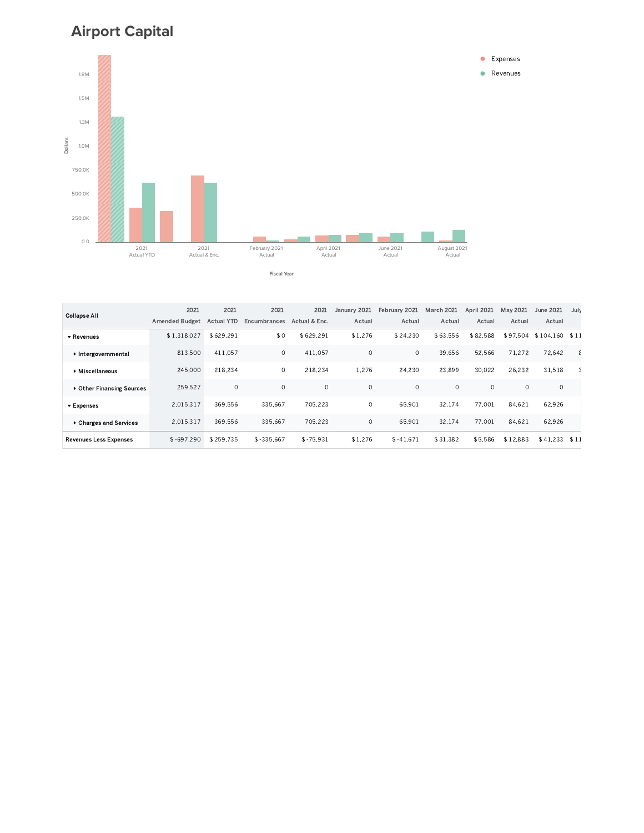## **Airport Capital**



| <b>Collapse All</b>            | 2021                  | 2021              | 2021         | 2021          | January 2021 | February 2021 | <b>March 2021</b> | April 2021 | May 2021 | June 2021      | July |
|--------------------------------|-----------------------|-------------------|--------------|---------------|--------------|---------------|-------------------|------------|----------|----------------|------|
|                                | <b>Amended Budget</b> | <b>Actual YTD</b> | Encumbrances | Actual & Enc. | Actual       | Actual        | Actual            | Actual     | Actual   | Actual         |      |
| $\blacktriangleright$ Revenues | \$1,318,027           | \$629.291         | \$0          | \$629.291     | \$1,276      | \$24.230      | \$63.556          | \$82.588   | \$97,504 | \$104,160 \$11 |      |
| ▶ Intergovernmental            | 813.500               | 411.057           | 0            | 411.057       | $\Omega$     | $\circ$       | 39.656            | 52.566     | 71.272   | 72.642         |      |
| Miscellaneous                  | 245,000               | 218.234           | 0            | 218.234       | 1.276        | 24,230        | 23.899            | 30.022     | 26.232   | 31.518         |      |
| ▶ Other Financing Sources      | 259.527               | $\circ$           | $\circ$      | $\circ$       | $\circ$      | $\circ$       | $\circ$           | $\circ$    | 0        | $\circ$        |      |
| ▼ Expenses                     | 2.015.317             | 369.556           | 335.667      | 705.223       | $\circ$      | 65.901        | 32.174            | 77.001     | 84.621   | 62.926         |      |
| ▶ Charges and Services         | 2.015.317             | 369.556           | 335.667      | 705.223       | $\circ$      | 65.901        | 32.174            | 77.001     | 84.621   | 62.926         |      |
| <b>Revenues Less Expenses</b>  | $$-697.290$           | \$259.735         | $$ -335.667$ | $$ -75.931$   | \$1,276      | $$-41.671$    | \$31.382          | \$5.586    | \$12.883 | \$41.233       | \$11 |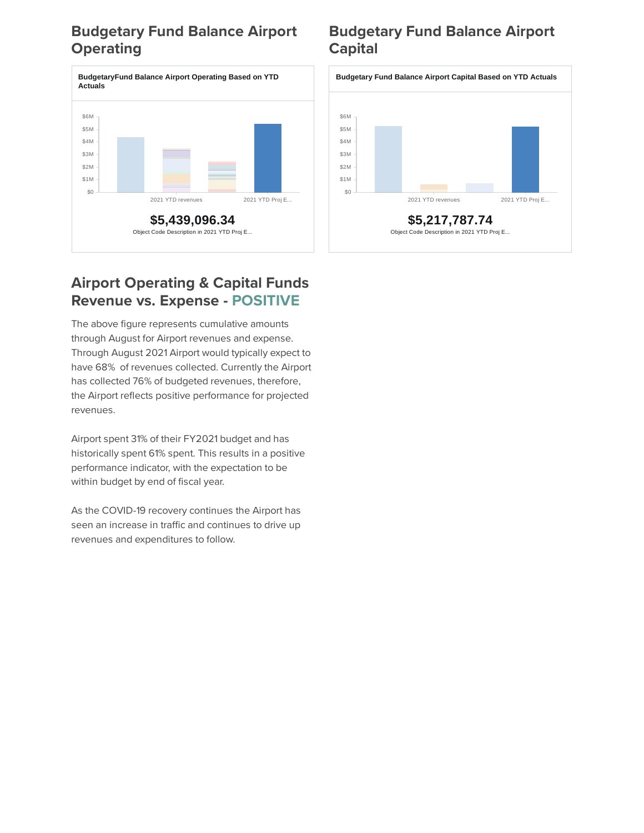## **Budgetary Fund Balance Airport Operating**



### **Airport Operating & Capital Funds Revenue vs. Expense - POSITIVE**

The above figure represents cumulative amounts through August for Airport revenues and expense. Through August 2021 Airport would typically expect to have 68% of revenues collected. Currently the Airport has collected 76% of budgeted revenues, therefore, the Airport reflects positive performance for projected revenues.

Airport spent 31% of their FY2021 budget and has historically spent 61% spent. This results in a positive performance indicator, with the expectation to be within budget by end of fiscal year.

As the COVID-19 recovery continues the Airport has seen an increase in traffic and continues to drive up revenues and expenditures to follow.

## **Budgetary Fund Balance Airport Capital**

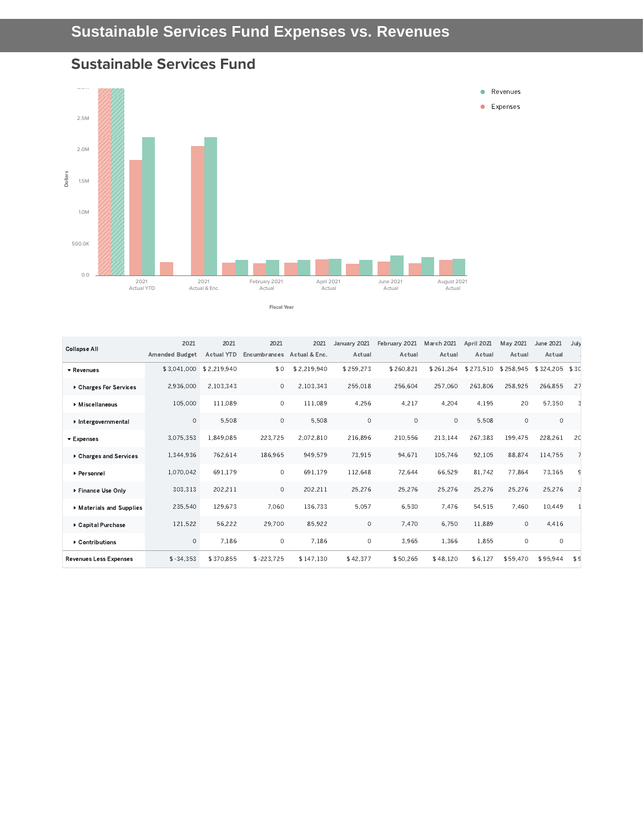#### **Sustainable Services Fund**



| <b>Collapse All</b>            | 2021                  | 2021              | 2021         | 2021          | January 2021 | February 2021 | March 2021 | April 2021 | May 2021  | June 2021      | Jul\           |
|--------------------------------|-----------------------|-------------------|--------------|---------------|--------------|---------------|------------|------------|-----------|----------------|----------------|
|                                | <b>Amended Budget</b> | <b>Actual YTD</b> | Encumbrances | Actual & Enc. | Actual       | Actual        | Actual     | Actual     | Actual    | Actual         |                |
| ▼ Revenues                     | \$3,041,000           | \$2,219,940       | \$0          | \$2,219,940   | \$259.273    | \$260,821     | \$261.264  | \$273.510  | \$258,945 | \$324,205 \$30 |                |
| ▶ Charges For Services         | 2,936,000             | 2.103.343         | $\circ$      | 2.103.343     | 255.018      | 256.604       | 257,060    | 263.806    | 258,925   | 266.855        | 27             |
| Miscellaneous                  | 105.000               | 111.089           | $\circ$      | 111.089       | 4,256        | 4,217         | 4.204      | 4,195      | 20        | 57,350         |                |
| Intergovernmental              | $\circ$               | 5.508             | $\circ$      | 5,508         | $\circ$      | $\circ$       | $\circ$    | 5.508      | $\circ$   | $\circ$        |                |
| $\blacktriangleright$ Expenses | 3,075,353             | 1,849,085         | 223,725      | 2,072,810     | 216,896      | 210,556       | 213.144    | 267,383    | 199.475   | 228,261        | 20             |
| ▶ Charges and Services         | 1,344,936             | 762.614           | 186,965      | 949.579       | 73,915       | 94.671        | 105.746    | 92.105     | 88.874    | 114,755        |                |
| ▶ Personnel                    | 1.070.042             | 691.179           | $\circ$      | 691.179       | 112,648      | 72,644        | 66.529     | 81.742     | 77.864    | 73,365         | S              |
| ▶ Finance Use Only             | 303,313               | 202,211           | $\circ$      | 202,211       | 25,276       | 25,276        | 25,276     | 25,276     | 25,276    | 25,276         |                |
| Materials and Supplies         | 235,540               | 129,673           | 7,060        | 136,733       | 5,057        | 6,530         | 7,476      | 54,515     | 7,460     | 10,449         |                |
| ▶ Capital Purchase             | 121.522               | 56.222            | 29,700       | 85,922        | $\circ$      | 7,470         | 6.750      | 11.889     | $\circ$   | 4.416          |                |
| ▶ Contributions                | $\circ$               | 7.186             | $\circ$      | 7.186         | $\circ$      | 3,965         | 1,366      | 1.855      | $\circ$   | $\circ$        |                |
| <b>Revenues Less Expenses</b>  | $$ -34.353$           | \$370.855         | $$ -223.725$ | \$147.130     | \$42.377     | \$50,265      | \$48.120   | \$6.127    | \$59,470  | \$95.944       | S <sub>c</sub> |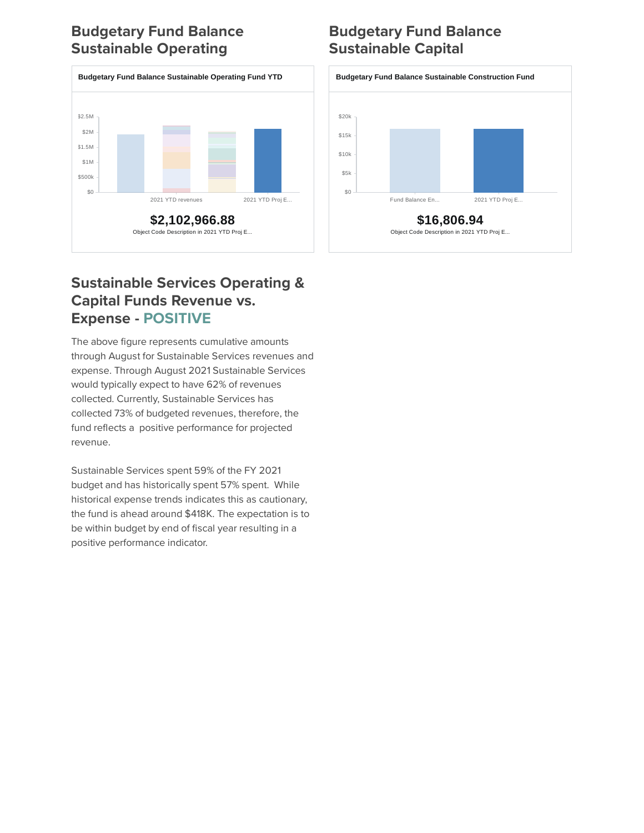## **Budgetary Fund Balance Sustainable Operating**



### **Sustainable Services Operating & Capital Funds Revenue vs. Expense - POSITIVE**

The above figure represents cumulative amounts through August for Sustainable Services revenues and expense. Through August 2021 Sustainable Services would typically expect to have 62% of revenues collected. Currently, Sustainable Services has collected 73% of budgeted revenues, therefore, the fund reflects a positive performance for projected revenue.

Sustainable Services spent 59% of the FY 2021 budget and has historically spent 57% spent. While historical expense trends indicates this as cautionary, the fund is ahead around \$418K. The expectation is to be within budget by end of fiscal year resulting in a positive performance indicator.

## **Budgetary Fund Balance Sustainable Capital**

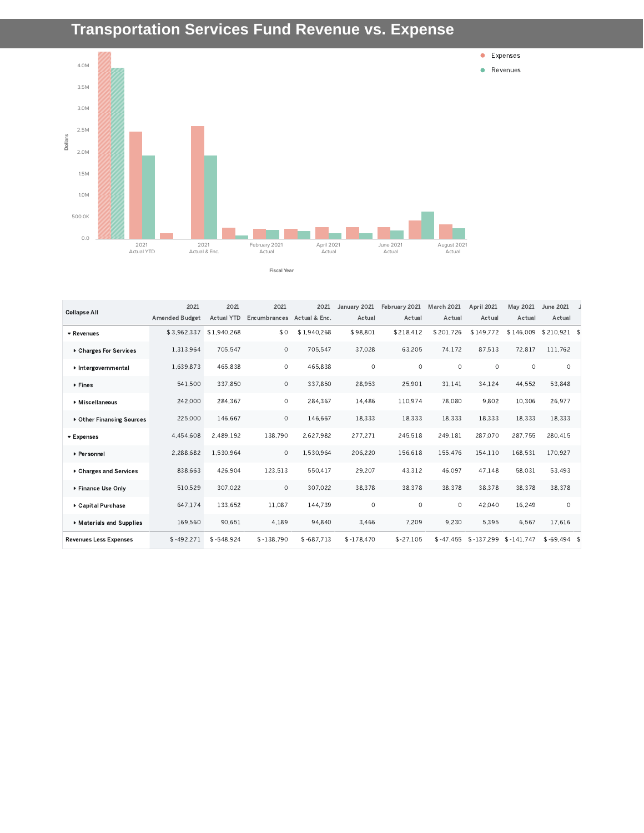## **Transportation Services Fund Revenue vs. Expense**



 $\texttt{\$3,962,337\textcolor{red}{\$1,940,268}} \qquad \qquad \texttt{\$0\textcolor{red}{\$1,940,268}} \qquad \texttt{\$98,801}\qquad \texttt{\$218,412\textcolor{red}{\$201,726}} \qquad \texttt{\$149,772\textcolor{red}{\$146,009}} \qquad \texttt{\$210,921\textcolor{red}{\$10,921}}$ 1.313.964 705.547 0 705.547 37.028 63.205 74.172 87.513 72.817 111.762  $1.639.873$  465.838 0 465.838 0 0 0 0 0 0 0 541.500 337.850 0 337.850 28.953 25.901 31.141 34.124 44.552 53.848 , , , , , , , , , 225,000 146,667 0 146,667 18,333 18,333 18,333 18,333 18,333 18,333 4.454.608 2.489.192 138.790 2.627.982 277.271 245.518 249.181 287.070 287.755 280.415 2.288.682 1.530.964 0 1.530.964 206.220 156.618 155.476 154.110 168.531 170.927 838.663 426.904 123.513 550.417 29.207 43.312 46.097 47.148 58.031 53.493 510.529 307.022 0 307.022 38.378 38.378 38.378 38.378 38.378 38.378 647.174 133.652 11.087 144.739 0 0 0 42.040 16.249 0 169.560 90.651 4.189 94.840 3.466 7.209 9.230 5.395 6.567 17.616  $$-492,271$   $$-548,924$   $$-138,790$   $$-687,713$   $$-178,470$   $$-27,105$   $$-47,455$   $$-137,299$   $$-141,747$   $$-69,494$   $$-101,747$ Revenues Charges For Services Intergovernmental ▶ Fines Miscellaneous Other Financing Sources **Expenses** Personnel Charges and Services ▶ Finance Use Only Capital Purchase Materials and Supplies Revenues Less Expenses 2021 Amended Budget 2021 Actual YTD Encumbrances Actual & Enc. 2021 2021 January 2021 Actual February 2021 Actual March 2021 Actual April 2021 Actual May 2021 June 2021 J Actual Actual Collapse All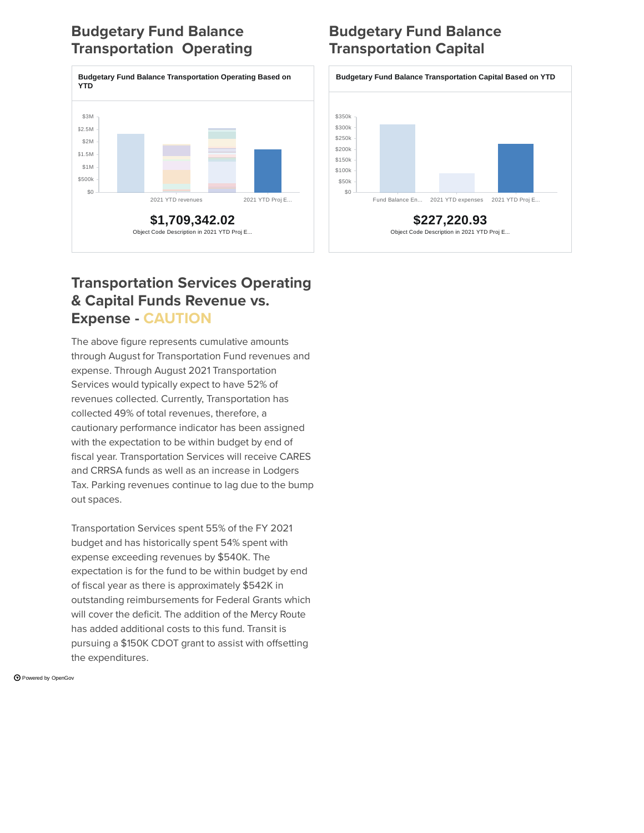## **Budgetary Fund Balance Transportation Operating**



## **Budgetary Fund Balance Transportation Capital**



### **Transportation Services Operating & Capital Funds Revenue vs. Expense - CAUTION**

The above figure represents cumulative amounts through August for Transportation Fund revenues and expense. Through August 2021 Transportation Services would typically expect to have 52% of revenues collected. Currently, Transportation has collected 49% of total revenues, therefore, a cautionary performance indicator has been assigned with the expectation to be within budget by end of fiscal year. Transportation Services will receive CARES and CRRSA funds as well as an increase in Lodgers Tax. Parking revenues continue to lag due to the bump out spaces.

Transportation Services spent 55% of the FY 2021 budget and has historically spent 54% spent with expense exceeding revenues by \$540K. The expectation is for the fund to be within budget by end of fiscal year as there is approximately \$542K in outstanding reimbursements for Federal Grants which will cover the deficit. The addition of the Mercy Route has added additional costs to this fund. Transit is pursuing a \$150K CDOT grant to assist with offsetting the expenditures.

Powered by [OpenGov](https://opengov.com/)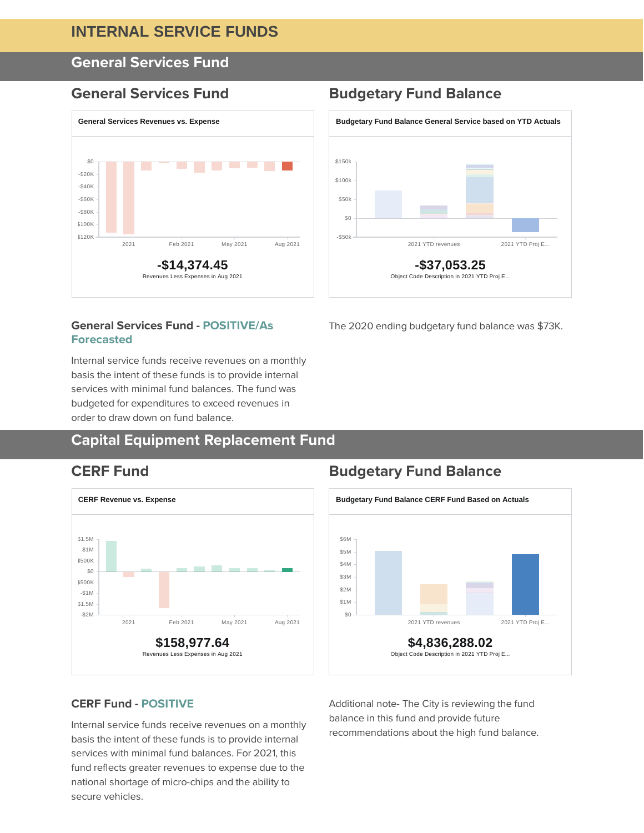#### **INTERNAL SERVICE FUNDS**

#### **General Services Fund**



#### **General Services Fund - POSITIVE/As Forecasted**

Internal service funds receive revenues on a monthly basis the intent of these funds is to provide internal services with minimal fund balances. The fund was budgeted for expenditures to exceed revenues in order to draw down on fund balance.

#### **Capital Equipment Replacement Fund**



#### **General Services Fund Budgetary Fund Balance**



The 2020 ending budgetary fund balance was \$73K.

#### **CERF Fund Budgetary Fund Balance**



#### **CERF Fund - POSITIVE**

Internal service funds receive revenues on a monthly basis the intent of these funds is to provide internal services with minimal fund balances. For 2021, this fund reflects greater revenues to expense due to the national shortage of micro-chips and the ability to secure vehicles.

Additional note- The City is reviewing the fund balance in this fund and provide future recommendations about the high fund balance.